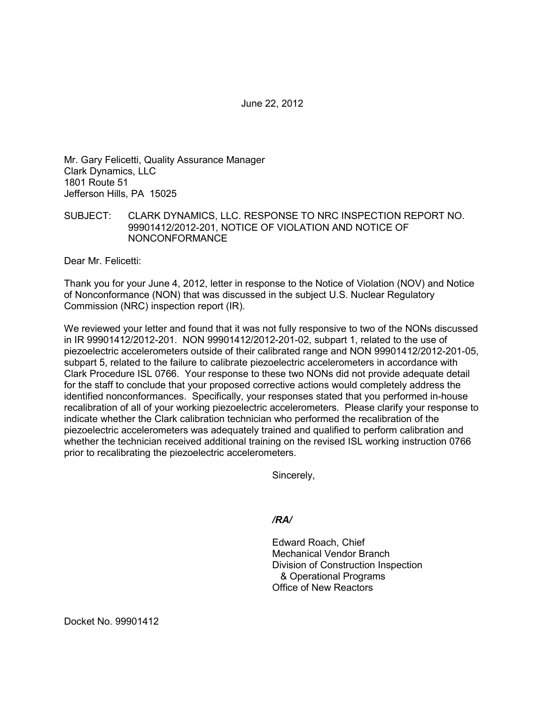June 22, 2012

Mr. Gary Felicetti, Quality Assurance Manager Clark Dynamics, LLC 1801 Route 51 Jefferson Hills, PA 15025

SUBJECT: CLARK DYNAMICS, LLC. RESPONSE TO NRC INSPECTION REPORT NO. 99901412/2012-201, NOTICE OF VIOLATION AND NOTICE OF NONCONFORMANCE

Dear Mr. Felicetti:

Thank you for your June 4, 2012, letter in response to the Notice of Violation (NOV) and Notice of Nonconformance (NON) that was discussed in the subject U.S. Nuclear Regulatory Commission (NRC) inspection report (IR).

We reviewed your letter and found that it was not fully responsive to two of the NONs discussed in IR 99901412/2012-201. NON 99901412/2012-201-02, subpart 1, related to the use of piezoelectric accelerometers outside of their calibrated range and NON 99901412/2012-201-05, subpart 5, related to the failure to calibrate piezoelectric accelerometers in accordance with Clark Procedure ISL 0766. Your response to these two NONs did not provide adequate detail for the staff to conclude that your proposed corrective actions would completely address the identified nonconformances. Specifically, your responses stated that you performed in-house recalibration of all of your working piezoelectric accelerometers. Please clarify your response to indicate whether the Clark calibration technician who performed the recalibration of the piezoelectric accelerometers was adequately trained and qualified to perform calibration and whether the technician received additional training on the revised ISL working instruction 0766 prior to recalibrating the piezoelectric accelerometers.

Sincerely,

*/RA/* 

Edward Roach, Chief Mechanical Vendor Branch Division of Construction Inspection & Operational Programs Office of New Reactors

Docket No. 99901412